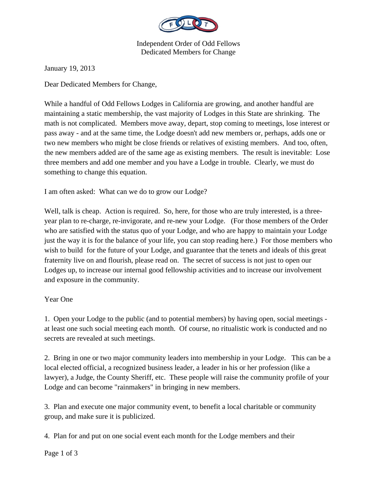

Independent Order of Odd Fellows Dedicated Members for Change

January 19, 2013

Dear Dedicated Members for Change,

While a handful of Odd Fellows Lodges in California are growing, and another handful are maintaining a static membership, the vast majority of Lodges in this State are shrinking. The math is not complicated. Members move away, depart, stop coming to meetings, lose interest or pass away - and at the same time, the Lodge doesn't add new members or, perhaps, adds one or two new members who might be close friends or relatives of existing members. And too, often, the new members added are of the same age as existing members. The result is inevitable: Lose three members and add one member and you have a Lodge in trouble. Clearly, we must do something to change this equation.

I am often asked: What can we do to grow our Lodge?

Well, talk is cheap. Action is required. So, here, for those who are truly interested, is a threeyear plan to re-charge, re-invigorate, and re-new your Lodge. (For those members of the Order who are satisfied with the status quo of your Lodge, and who are happy to maintain your Lodge just the way it is for the balance of your life, you can stop reading here.) For those members who wish to build for the future of your Lodge, and guarantee that the tenets and ideals of this great fraternity live on and flourish, please read on. The secret of success is not just to open our Lodges up, to increase our internal good fellowship activities and to increase our involvement and exposure in the community.

## Year One

1. Open your Lodge to the public (and to potential members) by having open, social meetings at least one such social meeting each month. Of course, no ritualistic work is conducted and no secrets are revealed at such meetings.

2. Bring in one or two major community leaders into membership in your Lodge. This can be a local elected official, a recognized business leader, a leader in his or her profession (like a lawyer), a Judge, the County Sheriff, etc. These people will raise the community profile of your Lodge and can become "rainmakers" in bringing in new members.

3. Plan and execute one major community event, to benefit a local charitable or community group, and make sure it is publicized.

4. Plan for and put on one social event each month for the Lodge members and their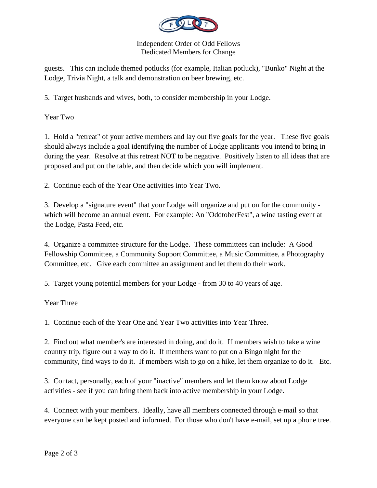

## Independent Order of Odd Fellows Dedicated Members for Change

guests. This can include themed potlucks (for example, Italian potluck), "Bunko" Night at the Lodge, Trivia Night, a talk and demonstration on beer brewing, etc.

5. Target husbands and wives, both, to consider membership in your Lodge.

Year Two

1. Hold a "retreat" of your active members and lay out five goals for the year. These five goals should always include a goal identifying the number of Lodge applicants you intend to bring in during the year. Resolve at this retreat NOT to be negative. Positively listen to all ideas that are proposed and put on the table, and then decide which you will implement.

2. Continue each of the Year One activities into Year Two.

3. Develop a "signature event" that your Lodge will organize and put on for the community which will become an annual event. For example: An "OddtoberFest", a wine tasting event at the Lodge, Pasta Feed, etc.

4. Organize a committee structure for the Lodge. These committees can include: A Good Fellowship Committee, a Community Support Committee, a Music Committee, a Photography Committee, etc. Give each committee an assignment and let them do their work.

5. Target young potential members for your Lodge - from 30 to 40 years of age.

Year Three

1. Continue each of the Year One and Year Two activities into Year Three.

2. Find out what member's are interested in doing, and do it. If members wish to take a wine country trip, figure out a way to do it. If members want to put on a Bingo night for the community, find ways to do it. If members wish to go on a hike, let them organize to do it. Etc.

3. Contact, personally, each of your "inactive" members and let them know about Lodge activities - see if you can bring them back into active membership in your Lodge.

4. Connect with your members. Ideally, have all members connected through e-mail so that everyone can be kept posted and informed. For those who don't have e-mail, set up a phone tree.